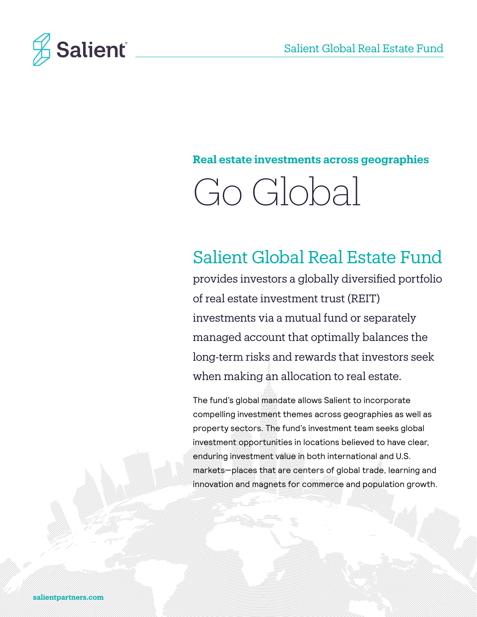

# **Real estate investments across geographies**



# Salient Global Real Estate Fund

provides investors a globally diversified portfolio of real estate investment trust (REIT) investments via a mutual fund or separately managed account that optimally balances the long-term risks and rewards that investors seek when making an allocation to real estate.

The fund's global mandate allows Salient to incorporate compelling investment themes across geographies as well as property sectors. The fund's investment team seeks global investment opportunities in locations believed to have clear, enduring investment value in both international and U.S. markets—places that are centers of global trade, learning and innovation and magnets for commerce and population growth.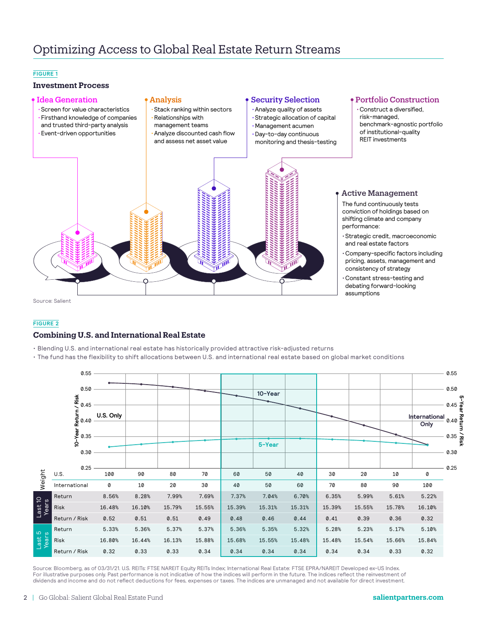### **FIGURE 1**

## **Investment Process**



### **FIGURE 2**

### **Combining U.S. and International Real Estate**

- Blending U.S. and international real estate has historically provided attractive risk-adjusted returns
- The fund has the flexibility to shift allocations between U.S. and international real estate based on global market conditions

|                  |               | 0.55                                 |           |        |        |        |        |         |        |        |        |        |                       | 0.55 |
|------------------|---------------|--------------------------------------|-----------|--------|--------|--------|--------|---------|--------|--------|--------|--------|-----------------------|------|
|                  |               | 0.50<br>/ Risk<br>0.45               |           |        |        |        |        | 10-Year |        |        |        |        |                       | 0.50 |
|                  |               | Let be turn<br>0-Year Return<br>0-35 | U.S. Only |        |        |        |        |         |        |        |        |        | International<br>Only |      |
|                  |               | 0.30                                 |           |        |        |        |        | 5-Year  |        |        |        |        |                       | 0.30 |
| Weight           | U.S.          | 0.25                                 | 100       | 90     | 80     | 70     | 60     | 50      | 40     | 30     | 20     | 10     | $\pmb{\mathsf{0}}$    | 0.25 |
|                  | International |                                      | 0         | 10     | 20     | 30     | 40     | 50      | 60     | 70     | 80     | 90     | 100                   |      |
| Last 10<br>Years | Return        |                                      | 8.56%     | 8.28%  | 7.99%  | 7.69%  | 7.37%  | 7.04%   | 6.70%  | 6.35%  | 5.99%  | 5.61%  | 5.22%                 |      |
|                  | Risk          |                                      | 16.48%    | 16.10% | 15.79% | 15.55% | 15.39% | 15.31%  | 15.31% | 15.39% | 15.55% | 15.78% | 16.10%                |      |
|                  | Return / Risk |                                      | 0.52      | 0.51   | 0.51   | 0.49   | 0.48   | 0.46    | 0.44   | 0.41   | 0.39   | 0.36   | 0.32                  |      |
| Last 5<br>Years  | Return        |                                      | 5.33%     | 5.36%  | 5.37%  | 5.37%  | 5.36%  | 5.35%   | 5.32%  | 5.28%  | 5.23%  | 5.17%  | 5.10%                 |      |
|                  | Risk          |                                      | 16.80%    | 16.44% | 16.13% | 15.88% | 15.68% | 15.55%  | 15.48% | 15.48% | 15.54% | 15.66% | 15.84%                |      |
|                  | Return / Risk |                                      | 0.32      | 0.33   | 0.33   | 0.34   | 0.34   | 0.34    | 0.34   | 0.34   | 0.34   | 0.33   | 0.32                  |      |

Source: Bloomberg, as of 03/31/21. U.S. REITs: FTSE NAREIT Equity REITs Index; International Real Estate: FTSE EPRA/NAREIT Developed ex-US Index. For illustrative purposes only. Past performance is not indicative of how the indices will perform in the future. The indices reflect the reinvestment of dividends and income and do not reflect deductions for fees, expenses or taxes. The indices are unmanaged and not available for direct investment.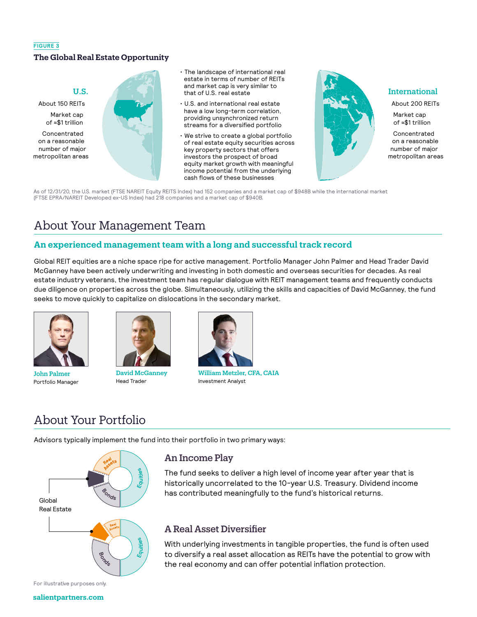## **FIGURE 3 The Global Real Estate Opportunity**

## U.S.

About 150 REITs Market cap

of ≈\$1 trillion

Concentrated on a reasonable number of major metropolitan areas



- The landscape of international real estate in terms of number of REITs and market cap is very similar to that of U.S. real estate
- U.S. and international real estate have a low long-term correlation, providing unsynchronized return streams for a diversified portfolio
- We strive to create a global portfolio of real estate equity securities across key property sectors that offers investors the prospect of broad equity market growth with meaningful income potential from the underlying cash flows of these businesses



## International

About 200 REITs Market cap of ≈\$1 trillion

Concentrated on a reasonable number of major metropolitan areas

As of 12/31/20, the U.S. market (FTSE NAREIT Equity REITS Index) had 152 companies and a market cap of \$948B while the international market (FTSE EPRA/NAREIT Developed ex-US Index) had 218 companies and a market cap of \$940B.

# About Your Management Team

# **An experienced management team with a long and successful track record**

Global REIT equities are a niche space ripe for active management. Portfolio Manager John Palmer and Head Trader David McGanney have been actively underwriting and investing in both domestic and overseas securities for decades. As real estate industry veterans, the investment team has regular dialogue with REIT management teams and frequently conducts due diligence on properties across the globe. Simultaneously, utilizing the skills and capacities of David McGanney, the fund seeks to move quickly to capitalize on dislocations in the secondary market.



John Palmer Portfolio Manager



David McGanney Head Trader



William Metzler, CFA, CAIA Investment Analyst

# About Your Portfolio

Advisors typically implement the fund into their portfolio in two primary ways:



#### For illustrative purposes only.

#### **salientpartners.com**

# An Income Play

The fund seeks to deliver a high level of income year after year that is historically uncorrelated to the 10-year U.S. Treasury. Dividend income has contributed meaningfully to the fund's historical returns.

# A Real Asset Diversifier

With underlying investments in tangible properties, the fund is often used to diversify a real asset allocation as REITs have the potential to grow with the real economy and can offer potential inflation protection.